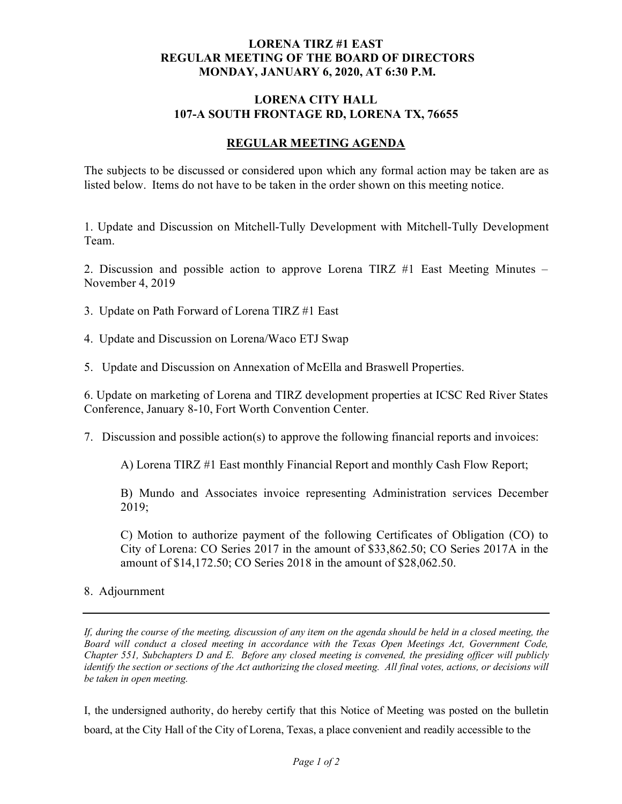## **LORENA TIRZ #1 EAST REGULAR MEETING OF THE BOARD OF DIRECTORS MONDAY, JANUARY 6, 2020, AT 6:30 P.M.**

## **LORENA CITY HALL** 107-A SOUTH **FRONTAGE RD, LORENA TX, 76655**

## **REGULAR MEETING AGENDA**

The subjects to be discussed or considered upon which any formal action may be taken are as listed below. Items do not have to be taken in the order shown on this meeting notice.

1. Update and Discussion on Mitchell-Tully Development with Mitchell-Tully Development Team.

2. Discussion and possible action to approve Lorena TIRZ #1 East Meeting Minutes – November 4, 2019

- 3. Update on Path Forward of Lorena TIRZ #1 East
- 4. Update and Discussion on Lorena/Waco ETJ Swap

5. Update and Discussion on Annexation of McElla and Braswell Properties.

6. Update on marketing of Lorena and TIRZ development properties at ICSC Red River States Conference, January 8-10, Fort Worth Convention Center.

7. Discussion and possible action(s) to approve the following financial reports and invoices:

A) Lorena TIRZ #1 East monthly Financial Report and monthly Cash Flow Report;

B) Mundo and Associates invoice representing Administration services December 2019;

C) Motion to authorize payment of the following Certificates of Obligation (CO) to City of Lorena: CO Series 2017 in the amount of \$33,862.50; CO Series 2017A in the amount of \$14,172.50; CO Series 2018 in the amount of \$28,062.50.

## 8. Adjournment

*If, during the course of the meeting, discussion of any item on the agenda should be held in a closed meeting, the Board will conduct a closed meeting in accordance with the Texas Open Meetings Act, Government Code, Chapter 551, Subchapters D and E. Before any closed meeting is convened, the presiding officer will publicly identify the section or sections of the Act authorizing the closed meeting. All final votes, actions, or decisions will be taken in open meeting.*

I, the undersigned authority, do hereby certify that this Notice of Meeting was posted on the bulletin board, at the City Hall of the City of Lorena, Texas, a place convenient and readily accessible to the